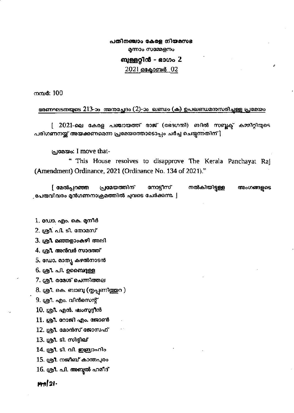പതിനഞ്ചാം കേരള നിയമസഭ മന്നാം സമ്മേളനം

## ബുള്ളറ്റിൻ - ഭാഗം 2

## 2021 ഒകോബർ 02

നസർ: 100

ഭരണഘടനയുടെ 213-ാം അന്മച്ചേദം (2)-ാം ഖണ്ഡം (ക) ഉപഖണ്ഡമനുസരിച്ചള്ള പ്രമേയം

[ 2021-ലെ കേരള പഞ്ചായത്ത് രാജ് (ഭേദഗതി) ബിൽ സബ്ലക് കമ്മിറ്റിയുടെ പരിഗണനയ്ക്ക് അയക്കണമെന്ന പ്രമേയത്തോടൊപ്പം ചർച്ച ചെയ്യന്നതിന് |

പ്രമേയം: I move that-

" This House resolves to disapprove The Kerala Panchayat Raj (Amendment) Ordinance, 2021 (Ordinance No. 134 of 2021)."

നൽകിയിട്ടുള്ള [ മേൽപ്പറഞ്ഞ പ്രമേയത്തിന് നോടിസ് അംഗങ്ങളുടെ ്രപേരുവിവരം മുൻഗണനാക്രമത്തിൽ ചുവടെ ചേർക്കുന്നു. |

1. ഡോ. എം. കെ. മനീർ

2. ശ്രീ. പി. ടി. തോമസ്

3. ശ്രീ. മഞ്ഞളാംകഴി അലി

4. ശ്രീ. അൻവർ സാദത്ത്

5. ഡോ. മാതൃ കഴൽനാടൻ

6. ஞி. പി. ഉബൈദുള്ള

7. ശ്രീ. രമേശ് ചെന്നിത്തല

8. ശ്രീ. കെ. ബാബു (തൃപ്പണിത്തുറ )

9. ശ്രീ. എം. വിൻസെന്റ്

10. ശ്രീ. എൻ. ഷംസുദ്ദീൻ

11. ശ്രീ. റോജി എം. ജോൺ

12. ശ്രീ. മോൻസ് ജോസഫ്

13. ശ്രീ. ടി. സിദ്ദീഖ്

14. ശ്രീ. ടി. വി. ഇബ്രാഹിം

15. ശ്രീ. നജീബ് കാന്തപരം

16. ശ്രീ. പി. അബുൽ ഹമീദ്

 $m2$